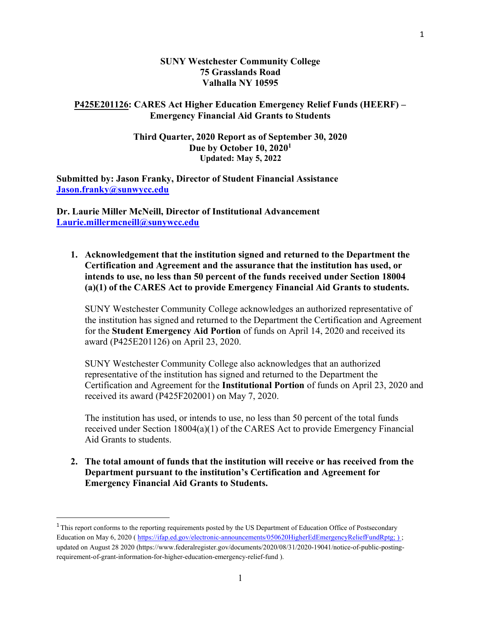#### SUNY Westchester Community College 75 Grasslands Road Valhalla NY 10595

#### P425E201126: CARES Act Higher Education Emergency Relief Funds (HEERF) – Emergency Financial Aid Grants to Students

#### Third Quarter, 2020 Report as of September 30, 2020 Due by October 10, 2020<sup>1</sup> Updated: May 5, 2022

Submitted by: Jason Franky, Director of Student Financial Assistance Jason.franky@sunwycc.edu

Dr. Laurie Miller McNeill, Director of Institutional Advancement Laurie.millermcneill@sunywcc.edu

1. Acknowledgement that the institution signed and returned to the Department the Certification and Agreement and the assurance that the institution has used, or intends to use, no less than 50 percent of the funds received under Section 18004 (a)(1) of the CARES Act to provide Emergency Financial Aid Grants to students.

SUNY Westchester Community College acknowledges an authorized representative of the institution has signed and returned to the Department the Certification and Agreement for the Student Emergency Aid Portion of funds on April 14, 2020 and received its award (P425E201126) on April 23, 2020.

SUNY Westchester Community College also acknowledges that an authorized representative of the institution has signed and returned to the Department the Certification and Agreement for the Institutional Portion of funds on April 23, 2020 and received its award (P425F202001) on May 7, 2020.

The institution has used, or intends to use, no less than 50 percent of the total funds received under Section 18004(a)(1) of the CARES Act to provide Emergency Financial Aid Grants to students.

2. The total amount of funds that the institution will receive or has received from the Department pursuant to the institution's Certification and Agreement for Emergency Financial Aid Grants to Students.

<sup>&</sup>lt;sup>1</sup>This report conforms to the reporting requirements posted by the US Department of Education Office of Postsecondary Education on May 6, 2020 ( https://ifap.ed.gov/electronic-announcements/050620HigherEdEmergencyReliefFundRptg; ) ; updated on August 28 2020 (https://www.federalregister.gov/documents/2020/08/31/2020-19041/notice-of-public-postingrequirement-of-grant-information-for-higher-education-emergency-relief-fund ).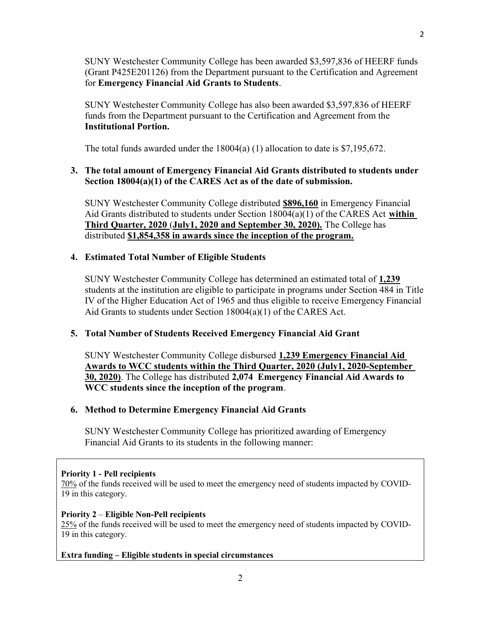SUNY Westchester Community College has been awarded \$3,597,836 of HEERF funds (Grant P425E201126) from the Department pursuant to the Certification and Agreement for Emergency Financial Aid Grants to Students.

SUNY Westchester Community College has also been awarded \$3,597,836 of HEERF funds from the Department pursuant to the Certification and Agreement from the Institutional Portion.

The total funds awarded under the  $18004(a)$  (1) allocation to date is \$7,195,672.

# 3. The total amount of Emergency Financial Aid Grants distributed to students under Section 18004(a)(1) of the CARES Act as of the date of submission.

SUNY Westchester Community College distributed \$896,160 in Emergency Financial Aid Grants distributed to students under Section  $18004(a)(1)$  of the CARES Act within Third Quarter, 2020 (July1, 2020 and September 30, 2020). The College has distributed \$1,854,358 in awards since the inception of the program.

## 4. Estimated Total Number of Eligible Students

SUNY Westchester Community College has determined an estimated total of 1,239 students at the institution are eligible to participate in programs under Section 484 in Title IV of the Higher Education Act of 1965 and thus eligible to receive Emergency Financial Aid Grants to students under Section 18004(a)(1) of the CARES Act.

## 5. Total Number of Students Received Emergency Financial Aid Grant

SUNY Westchester Community College disbursed 1,239 Emergency Financial Aid Awards to WCC students within the Third Quarter, 2020 (July1, 2020-September 30, 2020). The College has distributed 2,074 Emergency Financial Aid Awards to WCC students since the inception of the program.

## 6. Method to Determine Emergency Financial Aid Grants

SUNY Westchester Community College has prioritized awarding of Emergency Financial Aid Grants to its students in the following manner:

## Priority 1 - Pell recipients

70% of the funds received will be used to meet the emergency need of students impacted by COVID-19 in this category.

## Priority 2 – Eligible Non-Pell recipients

25% of the funds received will be used to meet the emergency need of students impacted by COVID-19 in this category.

## Extra funding – Eligible students in special circumstances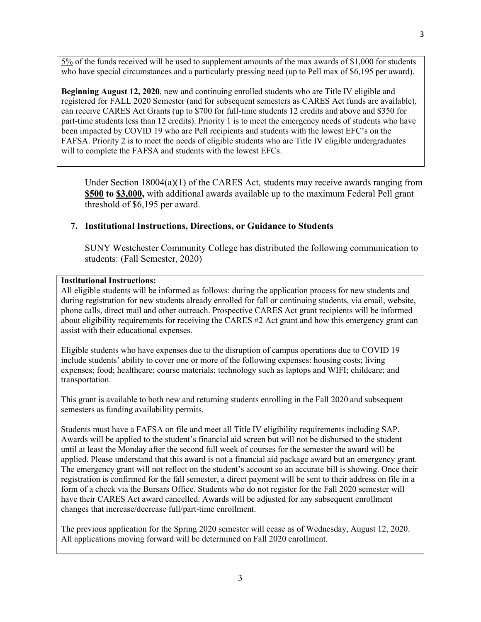5% of the funds received will be used to supplement amounts of the max awards of \$1,000 for students who have special circumstances and a particularly pressing need (up to Pell max of \$6,195 per award).

Beginning August 12, 2020, new and continuing enrolled students who are Title IV eligible and registered for FALL 2020 Semester (and for subsequent semesters as CARES Act funds are available), can receive CARES Act Grants (up to \$700 for full-time students 12 credits and above and \$350 for part-time students less than 12 credits). Priority 1 is to meet the emergency needs of students who have been impacted by COVID 19 who are Pell recipients and students with the lowest EFC's on the FAFSA. Priority 2 is to meet the needs of eligible students who are Title IV eligible undergraduates will to complete the FAFSA and students with the lowest EFCs.

Under Section  $18004(a)(1)$  of the CARES Act, students may receive awards ranging from \$500 to \$3,000, with additional awards available up to the maximum Federal Pell grant threshold of \$6,195 per award.

#### 7. Institutional Instructions, Directions, or Guidance to Students

SUNY Westchester Community College has distributed the following communication to students: (Fall Semester, 2020)

#### Institutional Instructions:

All eligible students will be informed as follows: during the application process for new students and during registration for new students already enrolled for fall or continuing students, via email, website, phone calls, direct mail and other outreach. Prospective CARES Act grant recipients will be informed about eligibility requirements for receiving the CARES #2 Act grant and how this emergency grant can assist with their educational expenses.

Eligible students who have expenses due to the disruption of campus operations due to COVID 19 include students' ability to cover one or more of the following expenses: housing costs; living expenses; food; healthcare; course materials; technology such as laptops and WIFI; childcare; and transportation.

This grant is available to both new and returning students enrolling in the Fall 2020 and subsequent semesters as funding availability permits.

Students must have a FAFSA on file and meet all Title IV eligibility requirements including SAP. Awards will be applied to the student's financial aid screen but will not be disbursed to the student until at least the Monday after the second full week of courses for the semester the award will be applied. Please understand that this award is not a financial aid package award but an emergency grant. The emergency grant will not reflect on the student's account so an accurate bill is showing. Once their registration is confirmed for the fall semester, a direct payment will be sent to their address on file in a form of a check via the Bursars Office. Students who do not register for the Fall 2020 semester will have their CARES Act award cancelled. Awards will be adjusted for any subsequent enrollment changes that increase/decrease full/part-time enrollment.

The previous application for the Spring 2020 semester will cease as of Wednesday, August 12, 2020. All applications moving forward will be determined on Fall 2020 enrollment.